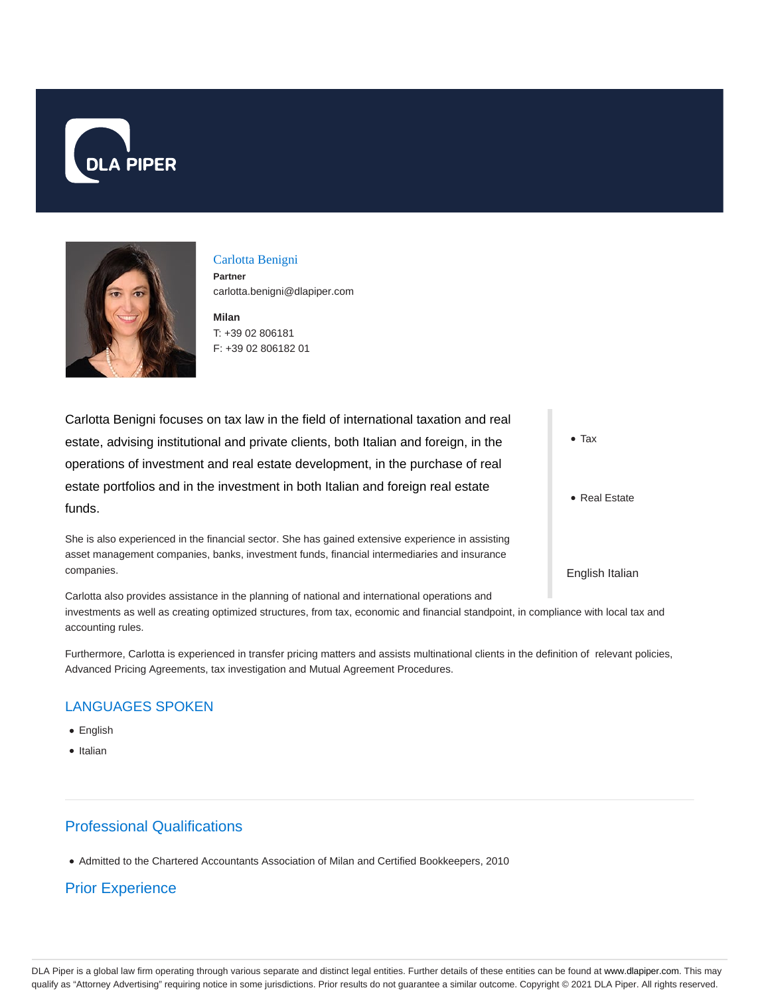



### Carlotta Benigni

**Partner** carlotta.benigni@dlapiper.com

**Milan** T: +39 02 806181 F: +39 02 806182 01

Carlotta Benigni focuses on tax law in the field of international taxation and real estate, advising institutional and private clients, both Italian and foreign, in the operations of investment and real estate development, in the purchase of real estate portfolios and in the investment in both Italian and foreign real estate funds.

She is also experienced in the financial sector. She has gained extensive experience in assisting asset management companies, banks, investment funds, financial intermediaries and insurance companies.

Carlotta also provides assistance in the planning of national and international operations and investments as well as creating optimized structures, from tax, economic and financial standpoint, in compliance with local tax and accounting rules.

Furthermore, Carlotta is experienced in transfer pricing matters and assists multinational clients in the definition of relevant policies, Advanced Pricing Agreements, tax investigation and Mutual Agreement Procedures.

## LANGUAGES SPOKEN

- English
- Italian

# Professional Qualifications

Admitted to the Chartered Accountants Association of Milan and Certified Bookkeepers, 2010

# Prior Experience

• Tax

• Real Estate

English Italian